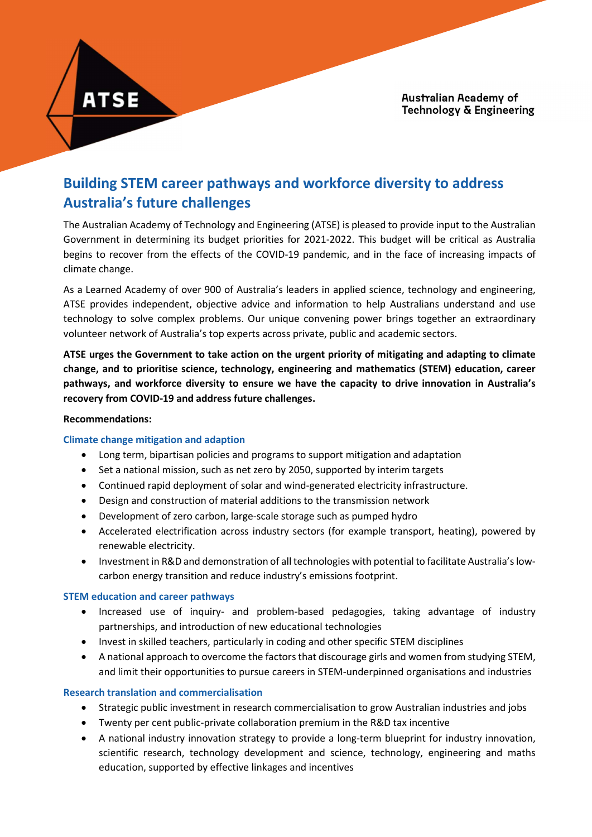# Building STEM career pathways and workforce diversity to address Australia's future challenges

The Australian Academy of Technology and Engineering (ATSE) is pleased to provide input to the Australian Government in determining its budget priorities for 2021-2022. This budget will be critical as Australia begins to recover from the effects of the COVID-19 pandemic, and in the face of increasing impacts of climate change.

As a Learned Academy of over 900 of Australia's leaders in applied science, technology and engineering, ATSE provides independent, objective advice and information to help Australians understand and use technology to solve complex problems. Our unique convening power brings together an extraordinary volunteer network of Australia's top experts across private, public and academic sectors.

ATSE urges the Government to take action on the urgent priority of mitigating and adapting to climate change, and to prioritise science, technology, engineering and mathematics (STEM) education, career pathways, and workforce diversity to ensure we have the capacity to drive innovation in Australia's recovery from COVID-19 and address future challenges.

#### Recommendations:

**ATSE** 

#### Climate change mitigation and adaption

- Long term, bipartisan policies and programs to support mitigation and adaptation
- Set a national mission, such as net zero by 2050, supported by interim targets
- Continued rapid deployment of solar and wind-generated electricity infrastructure.
- Design and construction of material additions to the transmission network
- Development of zero carbon, large-scale storage such as pumped hydro
- Accelerated electrification across industry sectors (for example transport, heating), powered by renewable electricity.
- Investment in R&D and demonstration of all technologies with potential to facilitate Australia's lowcarbon energy transition and reduce industry's emissions footprint.

#### STEM education and career pathways

- Increased use of inquiry- and problem-based pedagogies, taking advantage of industry partnerships, and introduction of new educational technologies
- Invest in skilled teachers, particularly in coding and other specific STEM disciplines
- A national approach to overcome the factors that discourage girls and women from studying STEM, and limit their opportunities to pursue careers in STEM-underpinned organisations and industries

#### Research translation and commercialisation

- Strategic public investment in research commercialisation to grow Australian industries and jobs
- Twenty per cent public-private collaboration premium in the R&D tax incentive
- A national industry innovation strategy to provide a long-term blueprint for industry innovation, scientific research, technology development and science, technology, engineering and maths education, supported by effective linkages and incentives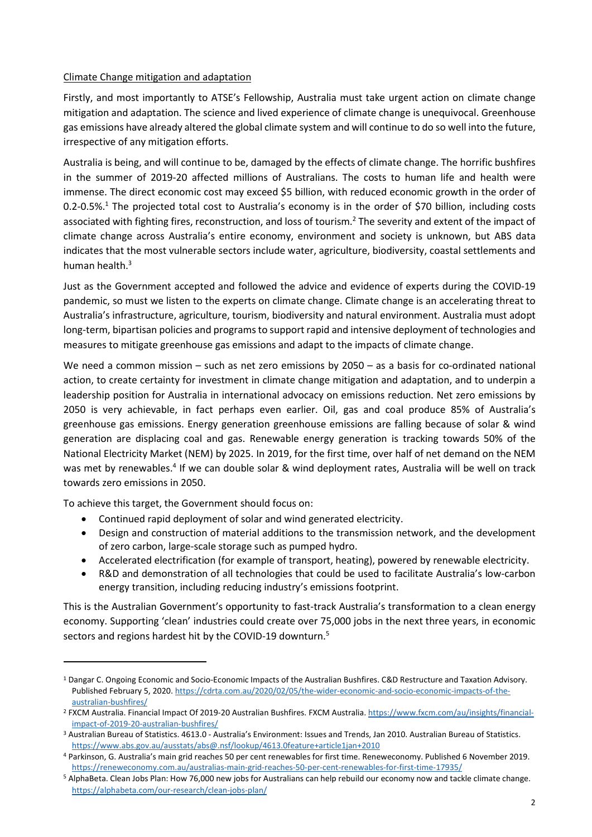## Climate Change mitigation and adaptation

Firstly, and most importantly to ATSE's Fellowship, Australia must take urgent action on climate change mitigation and adaptation. The science and lived experience of climate change is unequivocal. Greenhouse gas emissions have already altered the global climate system and will continue to do so well into the future, irrespective of any mitigation efforts.

Australia is being, and will continue to be, damaged by the effects of climate change. The horrific bushfires in the summer of 2019-20 affected millions of Australians. The costs to human life and health were immense. The direct economic cost may exceed \$5 billion, with reduced economic growth in the order of 0.2-0.5%.<sup>1</sup> The projected total cost to Australia's economy is in the order of \$70 billion, including costs associated with fighting fires, reconstruction, and loss of tourism.<sup>2</sup> The severity and extent of the impact of climate change across Australia's entire economy, environment and society is unknown, but ABS data indicates that the most vulnerable sectors include water, agriculture, biodiversity, coastal settlements and human health.<sup>3</sup>

Just as the Government accepted and followed the advice and evidence of experts during the COVID-19 pandemic, so must we listen to the experts on climate change. Climate change is an accelerating threat to Australia's infrastructure, agriculture, tourism, biodiversity and natural environment. Australia must adopt long-term, bipartisan policies and programs to support rapid and intensive deployment of technologies and measures to mitigate greenhouse gas emissions and adapt to the impacts of climate change.

We need a common mission – such as net zero emissions by 2050 – as a basis for co-ordinated national action, to create certainty for investment in climate change mitigation and adaptation, and to underpin a leadership position for Australia in international advocacy on emissions reduction. Net zero emissions by 2050 is very achievable, in fact perhaps even earlier. Oil, gas and coal produce 85% of Australia's greenhouse gas emissions. Energy generation greenhouse emissions are falling because of solar & wind generation are displacing coal and gas. Renewable energy generation is tracking towards 50% of the National Electricity Market (NEM) by 2025. In 2019, for the first time, over half of net demand on the NEM was met by renewables.<sup>4</sup> If we can double solar & wind deployment rates, Australia will be well on track towards zero emissions in 2050.

To achieve this target, the Government should focus on:

- Continued rapid deployment of solar and wind generated electricity.
- Design and construction of material additions to the transmission network, and the development of zero carbon, large-scale storage such as pumped hydro.
- Accelerated electrification (for example of transport, heating), powered by renewable electricity.
- R&D and demonstration of all technologies that could be used to facilitate Australia's low-carbon energy transition, including reducing industry's emissions footprint.

This is the Australian Government's opportunity to fast-track Australia's transformation to a clean energy economy. Supporting 'clean' industries could create over 75,000 jobs in the next three years, in economic sectors and regions hardest hit by the COVID-19 downturn.<sup>5</sup>

<sup>&</sup>lt;sup>1</sup> Dangar C. Ongoing Economic and Socio-Economic Impacts of the Australian Bushfires. C&D Restructure and Taxation Advisory. Published February 5, 2020. https://cdrta.com.au/2020/02/05/the-wider-economic-and-socio-economic-impacts-of-theaustralian-bushfires/

<sup>&</sup>lt;sup>2</sup> FXCM Australia. Financial Impact Of 2019-20 Australian Bushfires. FXCM Australia. https://www.fxcm.com/au/insights/financialimpact-of-2019-20-australian-bushfires/

<sup>&</sup>lt;sup>3</sup> Australian Bureau of Statistics. 4613.0 - Australia's Environment: Issues and Trends, Jan 2010. Australian Bureau of Statistics. https://www.abs.gov.au/ausstats/abs@.nsf/lookup/4613.0feature+article1jan+2010

<sup>4</sup> Parkinson, G. Australia's main grid reaches 50 per cent renewables for first time. Reneweconomy. Published 6 November 2019. https://reneweconomy.com.au/australias-main-grid-reaches-50-per-cent-renewables-for-first-time-17935/

<sup>&</sup>lt;sup>5</sup> AlphaBeta. Clean Jobs Plan: How 76,000 new jobs for Australians can help rebuild our economy now and tackle climate change. https://alphabeta.com/our-research/clean-jobs-plan/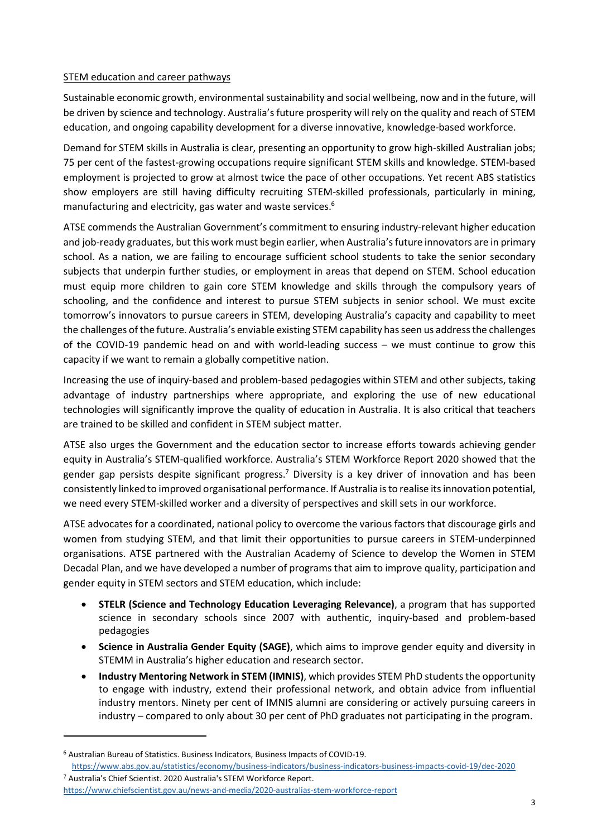# STEM education and career pathways

Sustainable economic growth, environmental sustainability and social wellbeing, now and in the future, will be driven by science and technology. Australia's future prosperity will rely on the quality and reach of STEM education, and ongoing capability development for a diverse innovative, knowledge-based workforce.

Demand for STEM skills in Australia is clear, presenting an opportunity to grow high-skilled Australian jobs; 75 per cent of the fastest-growing occupations require significant STEM skills and knowledge. STEM-based employment is projected to grow at almost twice the pace of other occupations. Yet recent ABS statistics show employers are still having difficulty recruiting STEM-skilled professionals, particularly in mining, manufacturing and electricity, gas water and waste services.<sup>6</sup>

ATSE commends the Australian Government's commitment to ensuring industry-relevant higher education and job-ready graduates, but this work must begin earlier, when Australia's future innovators are in primary school. As a nation, we are failing to encourage sufficient school students to take the senior secondary subjects that underpin further studies, or employment in areas that depend on STEM. School education must equip more children to gain core STEM knowledge and skills through the compulsory years of schooling, and the confidence and interest to pursue STEM subjects in senior school. We must excite tomorrow's innovators to pursue careers in STEM, developing Australia's capacity and capability to meet the challenges of the future. Australia's enviable existing STEM capability has seen us address the challenges of the COVID-19 pandemic head on and with world-leading success – we must continue to grow this capacity if we want to remain a globally competitive nation.

Increasing the use of inquiry-based and problem-based pedagogies within STEM and other subjects, taking advantage of industry partnerships where appropriate, and exploring the use of new educational technologies will significantly improve the quality of education in Australia. It is also critical that teachers are trained to be skilled and confident in STEM subject matter.

ATSE also urges the Government and the education sector to increase efforts towards achieving gender equity in Australia's STEM-qualified workforce. Australia's STEM Workforce Report 2020 showed that the gender gap persists despite significant progress.<sup>7</sup> Diversity is a key driver of innovation and has been consistently linked to improved organisational performance. If Australia is to realise its innovation potential, we need every STEM-skilled worker and a diversity of perspectives and skill sets in our workforce.

ATSE advocates for a coordinated, national policy to overcome the various factors that discourage girls and women from studying STEM, and that limit their opportunities to pursue careers in STEM-underpinned organisations. ATSE partnered with the Australian Academy of Science to develop the Women in STEM Decadal Plan, and we have developed a number of programs that aim to improve quality, participation and gender equity in STEM sectors and STEM education, which include:

- STELR (Science and Technology Education Leveraging Relevance), a program that has supported science in secondary schools since 2007 with authentic, inquiry-based and problem-based pedagogies
- Science in Australia Gender Equity (SAGE), which aims to improve gender equity and diversity in STEMM in Australia's higher education and research sector.
- Industry Mentoring Network in STEM (IMNIS), which provides STEM PhD students the opportunity to engage with industry, extend their professional network, and obtain advice from influential industry mentors. Ninety per cent of IMNIS alumni are considering or actively pursuing careers in industry – compared to only about 30 per cent of PhD graduates not participating in the program.

 $\overline{a}$ 

<sup>6</sup> Australian Bureau of Statistics. Business Indicators, Business Impacts of COVID-19.

https://www.abs.gov.au/statistics/economy/business-indicators/business-indicators-business-impacts-covid-19/dec-2020 7 Australia's Chief Scientist. 2020 Australia's STEM Workforce Report.

https://www.chiefscientist.gov.au/news-and-media/2020-australias-stem-workforce-report